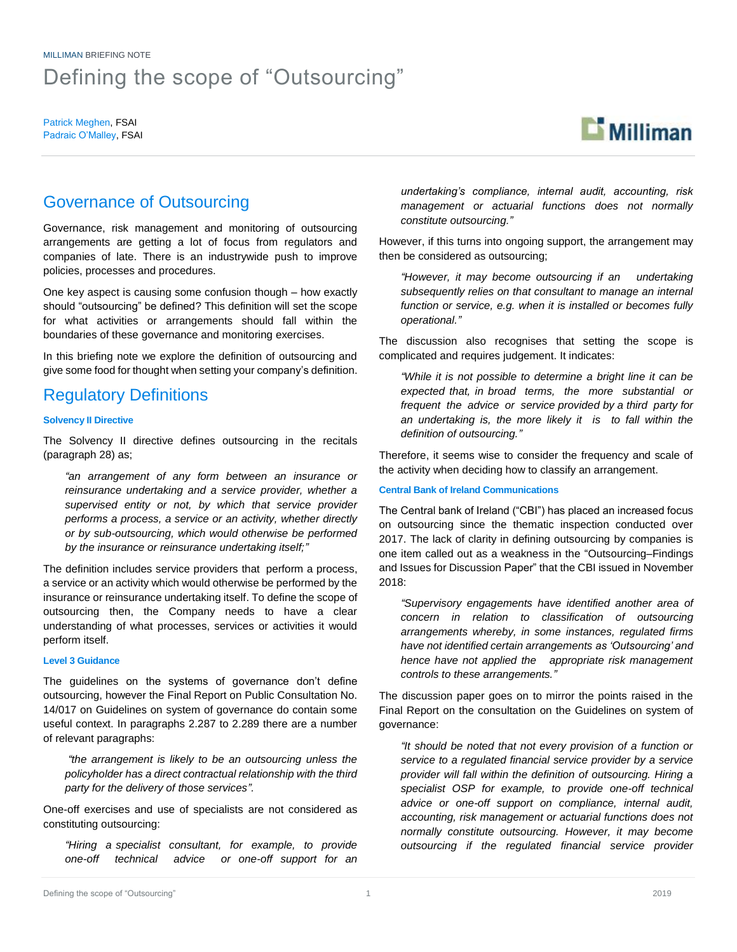Patrick Meghen, FSAI Padraic O'Malley, FSAI



# Governance of Outsourcing

Governance, risk management and monitoring of outsourcing arrangements are getting a lot of focus from regulators and companies of late. There is an industrywide push to improve policies, processes and procedures.

One key aspect is causing some confusion though – how exactly should "outsourcing" be defined? This definition will set the scope for what activities or arrangements should fall within the boundaries of these governance and monitoring exercises.

In this briefing note we explore the definition of outsourcing and give some food for thought when setting your company's definition.

# Regulatory Definitions

### **Solvency II Directive**

The Solvency II directive defines outsourcing in the recitals (paragraph 28) as;

*"an arrangement of any form between an insurance or reinsurance undertaking and a service provider, whether a supervised entity or not, by which that service provider performs a process, a service or an activity, whether directly or by sub-outsourcing, which would otherwise be performed by the insurance or reinsurance undertaking itself;"*

The definition includes service providers that perform a process, a service or an activity which would otherwise be performed by the insurance or reinsurance undertaking itself. To define the scope of outsourcing then, the Company needs to have a clear understanding of what processes, services or activities it would perform itself.

#### **Level 3 Guidance**

The guidelines on the systems of governance don't define outsourcing, however the Final Report on Public Consultation No. 14/017 on Guidelines on system of governance do contain some useful context. In paragraphs 2.287 to 2.289 there are a number of relevant paragraphs:

*"the arrangement is likely to be an outsourcing unless the policyholder has a direct contractual relationship with the third party for the delivery of those services".* 

One-off exercises and use of specialists are not considered as constituting outsourcing:

*"Hiring a specialist consultant, for example, to provide one-off technical advice or one-off support for an*  *undertaking's compliance, internal audit, accounting, risk management or actuarial functions does not normally constitute outsourcing."*

However, if this turns into ongoing support, the arrangement may then be considered as outsourcing;

*"However, it may become outsourcing if an undertaking subsequently relies on that consultant to manage an internal function or service, e.g. when it is installed or becomes fully operational."*

The discussion also recognises that setting the scope is complicated and requires judgement. It indicates:

*"While it is not possible to determine a bright line it can be expected that, in broad terms, the more substantial or frequent the advice or service provided by a third party for an undertaking is, the more likely it is to fall within the definition of outsourcing."*

Therefore, it seems wise to consider the frequency and scale of the activity when deciding how to classify an arrangement.

### **Central Bank of Ireland Communications**

The Central bank of Ireland ("CBI") has placed an increased focus on outsourcing since the thematic inspection conducted over 2017. The lack of clarity in defining outsourcing by companies is one item called out as a weakness in the "Outsourcing–Findings and Issues for Discussion Paper" that the CBI issued in November 2018:

*"Supervisory engagements have identified another area of concern in relation to classification of outsourcing arrangements whereby, in some instances, regulated firms have not identified certain arrangements as 'Outsourcing' and hence have not applied the appropriate risk management controls to these arrangements."*

The discussion paper goes on to mirror the points raised in the Final Report on the consultation on the Guidelines on system of governance:

*"It should be noted that not every provision of a function or service to a regulated financial service provider by a service provider will fall within the definition of outsourcing. Hiring a specialist OSP for example, to provide one-off technical advice or one-off support on compliance, internal audit, accounting, risk management or actuarial functions does not normally constitute outsourcing. However, it may become outsourcing if the regulated financial service provider*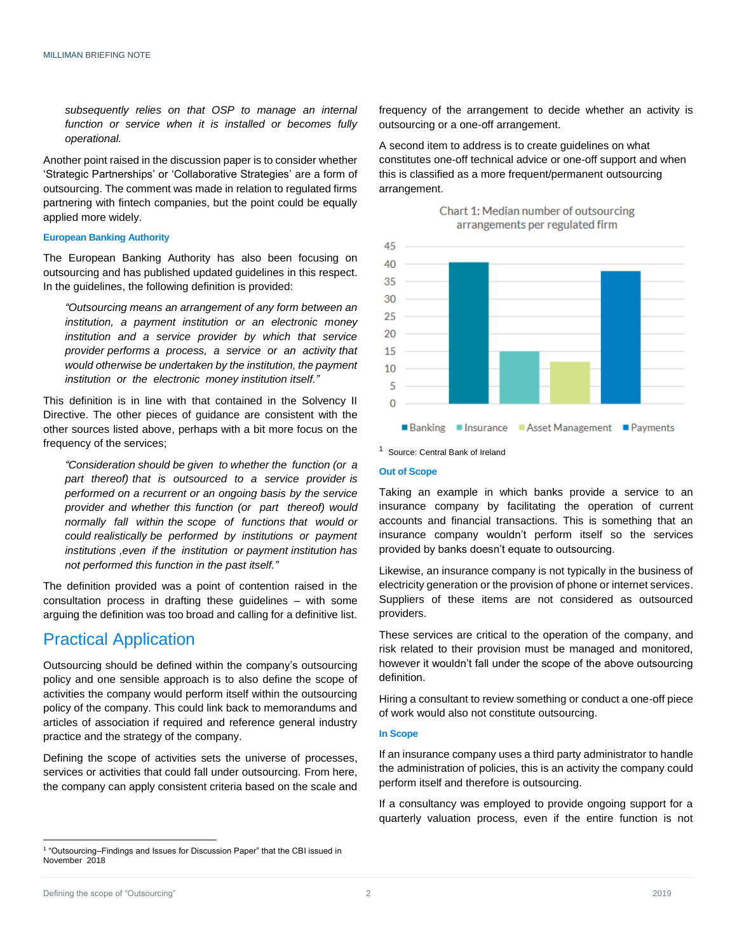*subsequently relies on that OSP to manage an internal function or service when it is installed or becomes fully operational.*

Another point raised in the discussion paper is to consider whether 'Strategic Partnerships' or 'Collaborative Strategies' are a form of outsourcing. The comment was made in relation to regulated firms partnering with fintech companies, but the point could be equally applied more widely.

### **European Banking Authority**

The European Banking Authority has also been focusing on outsourcing and has published updated guidelines in this respect. In the guidelines, the following definition is provided:

*"Outsourcing means an arrangement of any form between an institution, a payment institution or an electronic money institution and a service provider by which that service provider performs a process, a service or an activity that would otherwise be undertaken by the institution, the payment institution or the electronic money institution itself."*

This definition is in line with that contained in the Solvency II Directive. The other pieces of guidance are consistent with the other sources listed above, perhaps with a bit more focus on the frequency of the services;

*"Consideration should be given to whether the function (or a part thereof) that is outsourced to a service provider is performed on a recurrent or an ongoing basis by the service provider and whether this function (or part thereof) would normally fall within the scope of functions that would or could realistically be performed by institutions or payment institutions ,even if the institution or payment institution has not performed this function in the past itself."*

The definition provided was a point of contention raised in the consultation process in drafting these guidelines – with some arguing the definition was too broad and calling for a definitive list.

# Practical Application

Outsourcing should be defined within the company's outsourcing policy and one sensible approach is to also define the scope of activities the company would perform itself within the outsourcing policy of the company. This could link back to memorandums and articles of association if required and reference general industry practice and the strategy of the company.

Defining the scope of activities sets the universe of processes, services or activities that could fall under outsourcing. From here, the company can apply consistent criteria based on the scale and frequency of the arrangement to decide whether an activity is outsourcing or a one-off arrangement.

A second item to address is to create guidelines on what constitutes one-off technical advice or one-off support and when this is classified as a more frequent/permanent outsourcing arrangement.





<sup>1</sup> Source: Central Bank of Ireland

### **Out of Scope**

Taking an example in which banks provide a service to an insurance company by facilitating the operation of current accounts and financial transactions. This is something that an insurance company wouldn't perform itself so the services provided by banks doesn't equate to outsourcing.

Likewise, an insurance company is not typically in the business of electricity generation or the provision of phone or internet services. Suppliers of these items are not considered as outsourced providers.

These services are critical to the operation of the company, and risk related to their provision must be managed and monitored, however it wouldn't fall under the scope of the above outsourcing definition.

Hiring a consultant to review something or conduct a one-off piece of work would also not constitute outsourcing.

#### **In Scope**

If an insurance company uses a third party administrator to handle the administration of policies, this is an activity the company could perform itself and therefore is outsourcing.

If a consultancy was employed to provide ongoing support for a quarterly valuation process, even if the entire function is not

 $\overline{a}$ 

<sup>&</sup>lt;sup>1</sup> "Outsourcing–Findings and Issues for Discussion Paper" that the CBI issued in November 2018